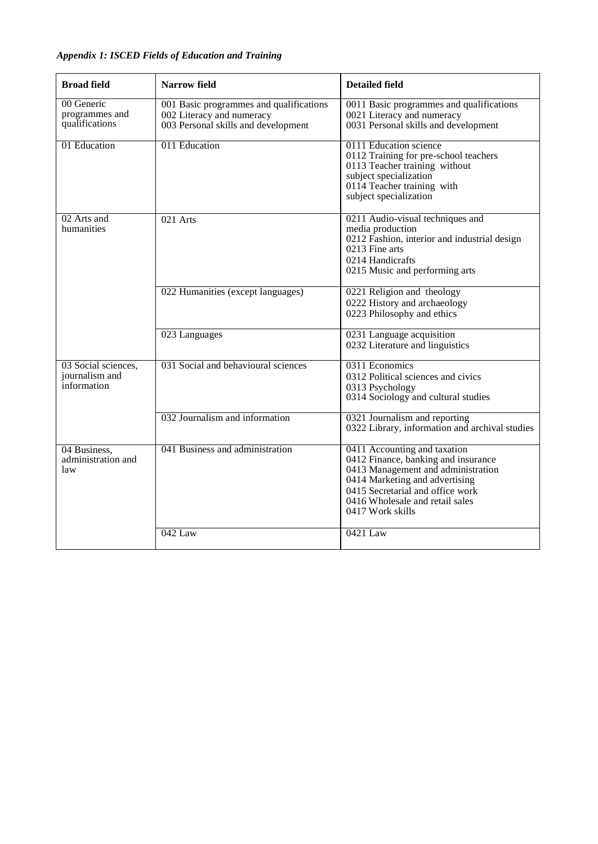## *Appendix 1: ISCED Fields of Education and Training*

| <b>Broad field</b>                                   | Narrow field                                                                                                | <b>Detailed field</b>                                                                                                                                                                                                                  |
|------------------------------------------------------|-------------------------------------------------------------------------------------------------------------|----------------------------------------------------------------------------------------------------------------------------------------------------------------------------------------------------------------------------------------|
| 00 Generic<br>programmes and<br>qualifications       | 001 Basic programmes and qualifications<br>002 Literacy and numeracy<br>003 Personal skills and development | 0011 Basic programmes and qualifications<br>0021 Literacy and numeracy<br>0031 Personal skills and development                                                                                                                         |
| 01 Education                                         | 011 Education                                                                                               | 0111 Education science<br>0112 Training for pre-school teachers<br>0113 Teacher training without<br>subject specialization<br>0114 Teacher training with<br>subject specialization                                                     |
| 02 Arts and<br>humanities                            | 021 Arts                                                                                                    | 0211 Audio-visual techniques and<br>media production<br>0212 Fashion, interior and industrial design<br>0213 Fine arts<br>0214 Handicrafts<br>0215 Music and performing arts                                                           |
|                                                      | 022 Humanities (except languages)                                                                           | 0221 Religion and theology<br>0222 History and archaeology<br>0223 Philosophy and ethics                                                                                                                                               |
|                                                      | 023 Languages                                                                                               | 0231 Language acquisition<br>0232 Literature and linguistics                                                                                                                                                                           |
| 03 Social sciences,<br>journalism and<br>information | 031 Social and behavioural sciences                                                                         | 0311 Economics<br>0312 Political sciences and civics<br>0313 Psychology<br>0314 Sociology and cultural studies                                                                                                                         |
|                                                      | 032 Journalism and information                                                                              | 0321 Journalism and reporting<br>0322 Library, information and archival studies                                                                                                                                                        |
| 04 Business,<br>administration and<br>law            | 041 Business and administration                                                                             | 0411 Accounting and taxation<br>0412 Finance, banking and insurance<br>0413 Management and administration<br>0414 Marketing and advertising<br>0415 Secretarial and office work<br>0416 Wholesale and retail sales<br>0417 Work skills |
|                                                      | $042$ Law                                                                                                   | 0421 Law                                                                                                                                                                                                                               |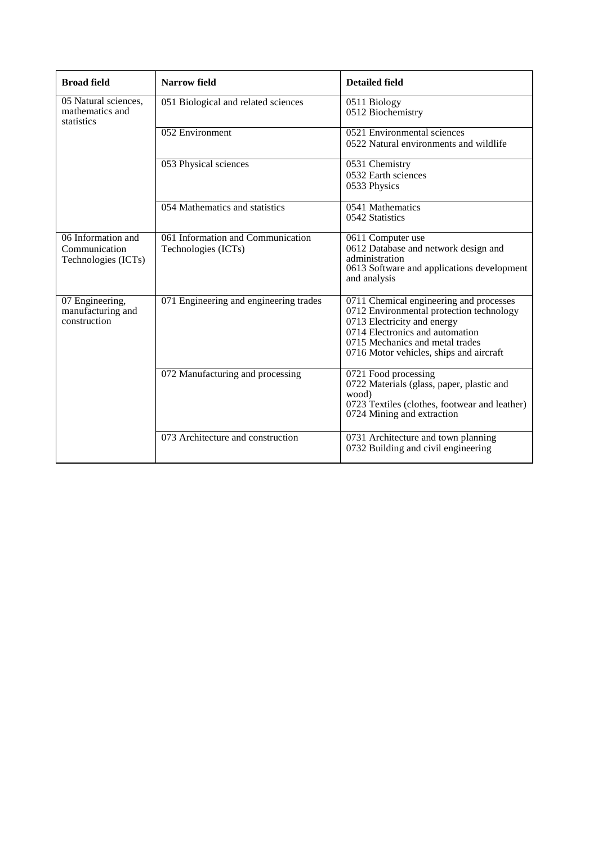| <b>Broad field</b>                                         | Narrow field                                             | <b>Detailed field</b>                                                                                                                                                                                                               |
|------------------------------------------------------------|----------------------------------------------------------|-------------------------------------------------------------------------------------------------------------------------------------------------------------------------------------------------------------------------------------|
| 05 Natural sciences,<br>mathematics and<br>statistics      | 051 Biological and related sciences                      | 0511 Biology<br>0512 Biochemistry                                                                                                                                                                                                   |
|                                                            | 052 Environment                                          | 0521 Environmental sciences<br>0522 Natural environments and wildlife                                                                                                                                                               |
|                                                            | 053 Physical sciences                                    | 0531 Chemistry<br>0532 Earth sciences<br>0533 Physics                                                                                                                                                                               |
|                                                            | 054 Mathematics and statistics                           | 0541 Mathematics<br>0542 Statistics                                                                                                                                                                                                 |
| 06 Information and<br>Communication<br>Technologies (ICTs) | 061 Information and Communication<br>Technologies (ICTs) | 0611 Computer use<br>0612 Database and network design and<br>administration<br>0613 Software and applications development<br>and analysis                                                                                           |
| 07 Engineering,<br>manufacturing and<br>construction       | 071 Engineering and engineering trades                   | 0711 Chemical engineering and processes<br>0712 Environmental protection technology<br>0713 Electricity and energy<br>0714 Electronics and automation<br>0715 Mechanics and metal trades<br>0716 Motor vehicles, ships and aircraft |
|                                                            | 072 Manufacturing and processing                         | 0721 Food processing<br>0722 Materials (glass, paper, plastic and<br>wood)<br>0723 Textiles (clothes, footwear and leather)<br>0724 Mining and extraction                                                                           |
|                                                            | 073 Architecture and construction                        | 0731 Architecture and town planning<br>0732 Building and civil engineering                                                                                                                                                          |